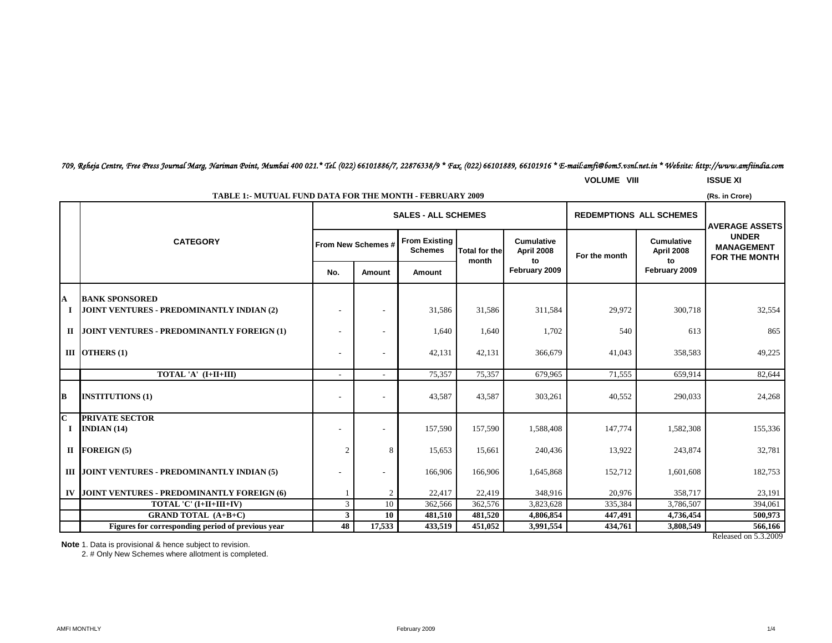# *709, Reheja Centre, Free Press Journal Marg, Nariman Point, Mumbai 400 021.\* Tel. (022) 66101886/7, 22876338/9 \* Fax. (022) 66101889, 66101916 \* E-mail:amfi@bom5.vsnl.net.in \* Website: http://www.amfiindia.com*

**VOLUME VIII ISSUE XI**

|                                     | <b>TABLE 1:- MUTUAL FUND DATA FOR THE MONTH - FEBRUARY 2009</b>           |                |                                                              |                                        |                      |                                 |               |                                 |                                                                                    |  |
|-------------------------------------|---------------------------------------------------------------------------|----------------|--------------------------------------------------------------|----------------------------------------|----------------------|---------------------------------|---------------|---------------------------------|------------------------------------------------------------------------------------|--|
|                                     |                                                                           |                | <b>SALES - ALL SCHEMES</b><br><b>REDEMPTIONS ALL SCHEMES</b> |                                        |                      |                                 |               |                                 |                                                                                    |  |
|                                     | <b>CATEGORY</b>                                                           |                | From New Schemes #                                           | <b>From Existing</b><br><b>Schemes</b> | <b>Total for the</b> | <b>Cumulative</b><br>April 2008 | For the month | <b>Cumulative</b><br>April 2008 | <b>AVERAGE ASSETS</b><br><b>UNDER</b><br><b>MANAGEMENT</b><br><b>FOR THE MONTH</b> |  |
|                                     |                                                                           | No.            | Amount                                                       | Amount                                 | month                | to<br>February 2009             |               | to<br>February 2009             |                                                                                    |  |
| A<br>I                              | <b>BANK SPONSORED</b><br><b>JOINT VENTURES - PREDOMINANTLY INDIAN (2)</b> |                |                                                              | 31,586                                 | 31,586               | 311,584                         | 29,972        | 300,718                         | 32,554                                                                             |  |
| П                                   | <b>JOINT VENTURES - PREDOMINANTLY FOREIGN (1)</b>                         |                |                                                              | 1,640                                  | 1,640                | 1,702                           | 540           | 613                             | 865                                                                                |  |
|                                     | III OTHERS $(1)$                                                          |                |                                                              | 42,131                                 | 42,131               | 366,679                         | 41,043        | 358,583                         | 49,225                                                                             |  |
|                                     | TOTAL 'A' (I+II+III)                                                      |                |                                                              | 75,357                                 | 75,357               | 679,965                         | 71,555        | 659,914                         | 82,644                                                                             |  |
| B                                   | <b>INSTITUTIONS (1)</b>                                                   |                |                                                              | 43,587                                 | 43,587               | 303,261                         | 40,552        | 290,033                         | 24,268                                                                             |  |
| $\overline{\mathbf{C}}$<br>$\bf{I}$ | <b>PRIVATE SECTOR</b><br>INDIAN $(14)$                                    |                |                                                              | 157,590                                | 157,590              | 1,588,408                       | 147,774       | 1,582,308                       | 155,336                                                                            |  |
|                                     | $II$ FOREIGN $(5)$                                                        | $\overline{c}$ | 8                                                            | 15,653                                 | 15,661               | 240,436                         | 13,922        | 243,874                         | 32,781                                                                             |  |
|                                     | III JOINT VENTURES - PREDOMINANTLY INDIAN (5)                             |                |                                                              | 166,906                                | 166,906              | 1,645,868                       | 152,712       | 1,601,608                       | 182,753                                                                            |  |
| IV                                  | <b>JOINT VENTURES - PREDOMINANTLY FOREIGN (6)</b>                         |                | 2                                                            | 22,417                                 | 22,419               | 348,916                         | 20.976        | 358,717                         | 23,191                                                                             |  |
|                                     | TOTAL 'C' (I+II+III+IV)                                                   | 3              | 10                                                           | 362,566                                | 362,576              | 3,823,628                       | 335,384       | 3,786,507                       | 394,061                                                                            |  |
|                                     | <b>GRAND TOTAL (A+B+C)</b>                                                | 3 <sup>1</sup> | 10                                                           | 481,510                                | 481,520              | 4,806,854                       | 447,491       | 4,736,454                       | 500,973                                                                            |  |
|                                     | Figures for corresponding period of previous year                         | 48             | 17,533                                                       | 433,519                                | 451,052              | 3,991,554                       | 434,761       | 3,808,549                       | 566,166                                                                            |  |
|                                     |                                                                           |                |                                                              |                                        |                      |                                 |               |                                 | Released on 5.3.2009                                                               |  |

**Note** 1. Data is provisional & hence subject to revision.

2. # Only New Schemes where allotment is completed.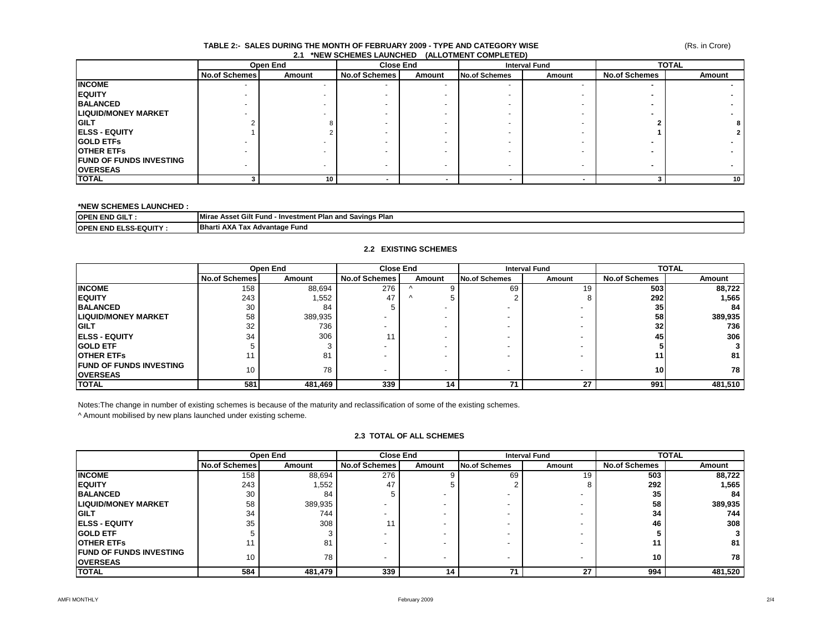#### (Rs. in Crore)

#### **TABLE 2:- SALES DURING THE MONTH OF FEBRUARY 2009 - TYPE AND CATEGORY WISE 2.1 \*NEW SCHEMES LAUNCHED (ALLOTMENT COMPLETED)**

|                                 |                      | Open End | <b>Close End</b>     |                          | <b>Interval Fund</b>     |        | <b>TOTAL</b>         |                 |
|---------------------------------|----------------------|----------|----------------------|--------------------------|--------------------------|--------|----------------------|-----------------|
|                                 | <b>No.of Schemes</b> | Amount   | <b>No.of Schemes</b> | Amount                   | <b>No.of Schemes</b>     | Amount | <b>No.of Schemes</b> | Amount          |
| <b>INCOME</b>                   |                      |          |                      | ۰                        | $\overline{\phantom{a}}$ |        |                      |                 |
| <b>IEQUITY</b>                  |                      |          |                      |                          |                          |        |                      |                 |
| <b>BALANCED</b>                 |                      |          |                      |                          |                          |        |                      |                 |
| <b>LIQUID/MONEY MARKET</b>      |                      |          |                      |                          |                          |        |                      |                 |
| <b>IGILT</b>                    |                      |          |                      |                          |                          |        |                      | 8               |
| <b>IELSS - EQUITY</b>           |                      |          |                      |                          |                          |        |                      | 2 <sub>1</sub>  |
| <b>IGOLD ETFS</b>               |                      |          |                      |                          |                          |        |                      |                 |
| <b>OTHER ETFS</b>               |                      |          |                      |                          |                          |        |                      |                 |
| <b>IFUND OF FUNDS INVESTING</b> | ۰                    |          |                      | $\overline{\phantom{a}}$ | $\overline{\phantom{a}}$ |        | -                    |                 |
| <b>OVERSEAS</b>                 |                      | -        |                      |                          |                          |        |                      |                 |
| <b>TOTAL</b>                    |                      | 10       |                      |                          |                          |        |                      | 10 <sup>1</sup> |

#### **\*NEW SCHEMES LAUNCHED :**

| <b>IOPEN END GILT</b>  | --<br><b>Mirae</b><br>- Investment Plan and Savings Plan<br>: Asset Gilt<br>Funa |
|------------------------|----------------------------------------------------------------------------------|
| <b>OPEN</b>            | <b>Bharti AXA</b>                                                                |
| <b>END ELSS-EQUITY</b> | . Tax Advantage Fund                                                             |

### **2.2 EXISTING SCHEMES**

|                                 | Open End             |         | <b>Close End</b>         |          | <b>Interval Fund</b>     |        | <b>TOTAL</b>         |         |
|---------------------------------|----------------------|---------|--------------------------|----------|--------------------------|--------|----------------------|---------|
|                                 | <b>No.of Schemes</b> | Amount  | <b>No.of Schemes</b>     | Amount   | No.of Schemes            | Amount | <b>No.of Schemes</b> | Amount  |
| <b>INCOME</b>                   | 158                  | 88,694  | 276                      |          | 69                       | 19     | 503                  | 88,722  |
| <b>IEQUITY</b>                  | 243                  | 1,552   | 47                       | $\wedge$ |                          |        | <b>292</b>           | 1,565   |
| <b>BALANCED</b>                 | 30                   | 84      |                          |          |                          |        | 35 <sub>l</sub>      | 84      |
| <b>LIQUID/MONEY MARKET</b>      | 58                   | 389,935 |                          |          |                          |        | 58                   | 389,935 |
| <b>GILT</b>                     | 32                   | 736     |                          |          |                          |        | 32 <sub>l</sub>      | 736     |
| <b>IELSS - EQUITY</b>           | 34                   | 306     | 11                       |          |                          |        | 45                   | 306     |
| <b>GOLD ETF</b>                 |                      |         |                          |          |                          |        |                      |         |
| <b>IOTHER ETFS</b>              |                      | 81      |                          |          |                          |        |                      | 81      |
| <b>IFUND OF FUNDS INVESTING</b> | 10                   | 78      | $\overline{\phantom{a}}$ |          | $\overline{\phantom{a}}$ |        | 10                   | 78      |
| <b>OVERSEAS</b>                 |                      |         |                          |          |                          |        |                      |         |
| <b>TOTAL</b>                    | 581                  | 481,469 | 339                      | 14       |                          | 27     | 991                  | 481,510 |

Notes:The change in number of existing schemes is because of the maturity and reclassification of some of the existing schemes.

^ Amount mobilised by new plans launched under existing scheme.

### **2.3 TOTAL OF ALL SCHEMES**

|                                 |                      | Open End | <b>Close End</b>         |        | <b>Interval Fund</b> |                          | <b>TOTAL</b>         |         |
|---------------------------------|----------------------|----------|--------------------------|--------|----------------------|--------------------------|----------------------|---------|
|                                 | <b>No.of Schemes</b> | Amount   | <b>No.of Schemes</b>     | Amount | No.of Schemes        | Amount                   | <b>No.of Schemes</b> | Amount  |
| <b>INCOME</b>                   | 158                  | 88,694   | 276                      |        | 69                   | 19                       | 503                  | 88,722  |
| <b>IEQUITY</b>                  | 243                  | 1,552    | 47                       |        |                      |                          | 292                  | 1,565   |
| <b>BALANCED</b>                 | 30                   | 84       |                          |        |                      |                          | 35                   | 84      |
| <b>LIQUID/MONEY MARKET</b>      | 58                   | 389,935  |                          |        |                      |                          | 58                   | 389,935 |
| <b>IGILT</b>                    | 34                   | 744      |                          |        |                      |                          | 34                   | 744     |
| <b>IELSS - EQUITY</b>           | 35                   | 308      |                          |        |                      |                          | 46                   | 308     |
| <b>IGOLD ETF</b>                |                      |          |                          |        |                      |                          |                      |         |
| <b>IOTHER ETFS</b>              |                      | 81       |                          |        |                      |                          |                      | 81      |
| <b>IFUND OF FUNDS INVESTING</b> | 10                   | 78       | $\overline{\phantom{0}}$ |        |                      | $\overline{\phantom{a}}$ | 10                   | 78      |
| <b>OVERSEAS</b>                 |                      |          |                          |        |                      |                          |                      |         |
| <b>TOTAL</b>                    | 584                  | 481,479  | 339                      | 14     | 74.                  | 27                       | 994                  | 481,520 |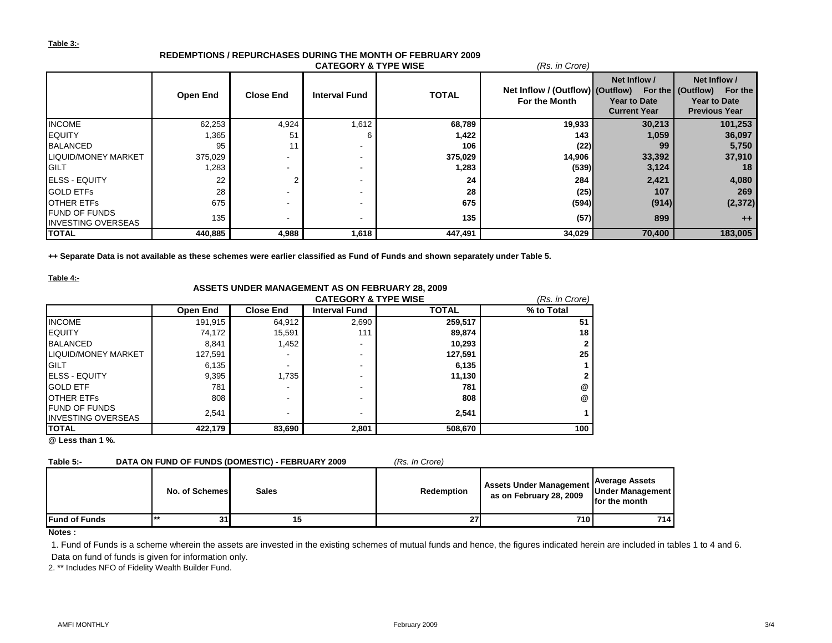#### **Table 3:-**

#### **Open End Close End Interval Fund TOTAL Net Inflow / (Outflow) (Outflow) For the (Outflow) For the For the Month Net Inflow / Year to Date Current Year Net Inflow / Year to Date Previous Year** INCOME 62,253 4,924 1,612 **68,789 19,933 30,213 101,253** EQUITY 1,365 51 6 **1,422 143 1,059 36,097** BALANCED 95 | 11 | - | 106 | (22)| 99 | 5,750 LIQUID/MONEY MARKET 375,029 - - **375,029 14,906 33,392 37,910** GILT 1,283 | - | 1,**283 |** (539)| 3,124 | 18 ELSS - EQUITY 22 2 - **24 284 2,421 4,080** GOLD ETFs 28 | - | - | 28 | (25)| 107 | 269 OTHER ETFs 675 **| - - 675 |** (**594)| (914)| (2,372)** FUND OF FUNDS<br>INVESTING OVERSEAS INVESTING OVERSEAS 135 - - **135 (57)<sup>899</sup> ++ TOTAL 440,885 4,988 1,618 447,491 34,029 70,400 183,005 CATEGORY & TYPE WISE** *(Rs. in Crore)*

# **REDEMPTIONS / REPURCHASES DURING THE MONTH OF FEBRUARY 2009**

**++ Separate Data is not available as these schemes were earlier classified as Fund of Funds and shown separately under Table 5.**

**Table 4:-**

## **ASSETS UNDER MANAGEMENT AS ON FEBRUARY 28, 2009**

|                             |                 |                  | <b>CATEGORY &amp; TYPE WISE</b> |              | (Rs. in Crore) |
|-----------------------------|-----------------|------------------|---------------------------------|--------------|----------------|
|                             | <b>Open End</b> | <b>Close End</b> | <b>Interval Fund</b>            | <b>TOTAL</b> | % to Total     |
| <b>INCOME</b>               | 191,915         | 64.912           | 2,690                           | 259,517      | 51             |
| <b>EQUITY</b>               | 74,172          | 15,591           | 111                             | 89,874       | 18             |
| <b>BALANCED</b>             | 8,841           | 1,452            | -                               | 10.293       | $\mathbf{2}$   |
| <b>ILIQUID/MONEY MARKET</b> | 127,591         | -                | -                               | 127,591      | 25             |
| <b>IGILT</b>                | 6,135           | -                | $\overline{\phantom{a}}$        | 6,135        |                |
| <b>IELSS - EQUITY</b>       | 9,395           | 1,735            | -                               | 11,130       | 2              |
| <b>GOLD ETF</b>             | 781             | -                | -                               | 781          | @              |
| <b>OTHER ETFS</b>           | 808             | -                | -                               | 808          | @              |
| <b>FUND OF FUNDS</b>        | 2.541           | -                | -                               | 2.541        |                |
| <b>INVESTING OVERSEAS</b>   |                 |                  |                                 |              |                |
| <b>TOTAL</b>                | 422,179         | 83,690           | 2,801                           | 508,670      | 100            |

**@ Less than 1 %.**

| Table 5:-             |                | DATA ON FUND OF FUNDS (DOMESTIC) - FEBRUARY 2009 | (Rs. In Crore) |                                                           |                                                            |
|-----------------------|----------------|--------------------------------------------------|----------------|-----------------------------------------------------------|------------------------------------------------------------|
|                       | No. of Schemes | <b>Sales</b>                                     | Redemption     | <b>Assets Under Management</b><br>as on February 28, 2009 | <b>Average Assets</b><br>Under Management<br>for the month |
| <b>IFund of Funds</b> | 31             | 15                                               | 27             | 710                                                       | <b>714</b>                                                 |

#### **Notes :**

1. Fund of Funds is a scheme wherein the assets are invested in the existing schemes of mutual funds and hence, the figures indicated herein are included in tables 1 to 4 and 6. Data on fund of funds is given for information only.

2. \*\* Includes NFO of Fidelity Wealth Builder Fund.